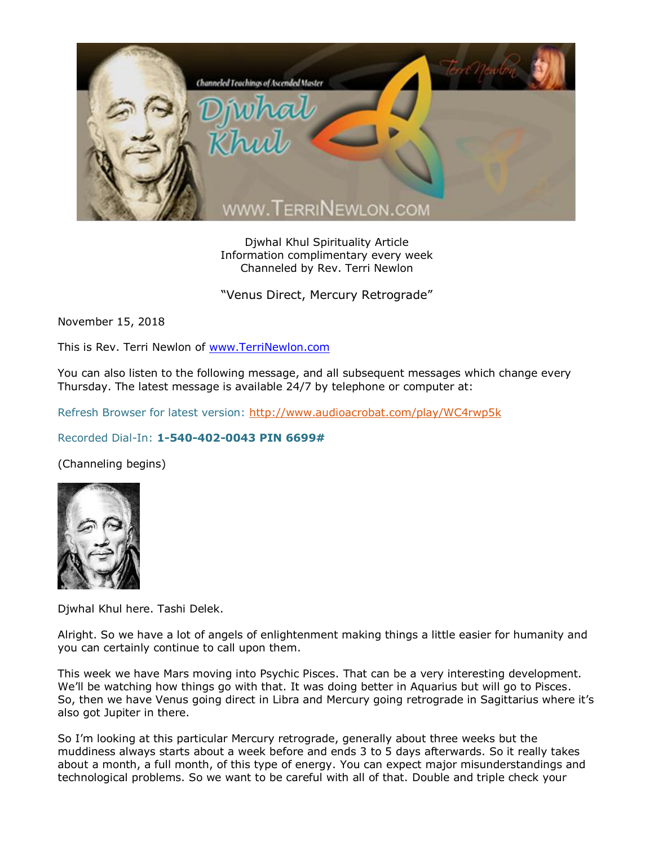

Djwhal Khul Spirituality Article Information complimentary every week Channeled by Rev. Terri Newlon

"Venus Direct, Mercury Retrograde"

November 15, 2018

This is Rev. Terri Newlon of [www.TerriNewlon.com](http://www.terrinewlon.com/)

You can also listen to the following message, and all subsequent messages which change every Thursday. The latest message is available 24/7 by telephone or computer at:

Refresh Browser for latest version:<http://www.audioacrobat.com/play/WC4rwp5k>

## Recorded Dial-In: **1-540-402-0043 PIN 6699#**

(Channeling begins)



Djwhal Khul here. Tashi Delek.

Alright. So we have a lot of angels of enlightenment making things a little easier for humanity and you can certainly continue to call upon them.

This week we have Mars moving into Psychic Pisces. That can be a very interesting development. We'll be watching how things go with that. It was doing better in Aquarius but will go to Pisces. So, then we have Venus going direct in Libra and Mercury going retrograde in Sagittarius where it's also got Jupiter in there.

So I'm looking at this particular Mercury retrograde, generally about three weeks but the muddiness always starts about a week before and ends 3 to 5 days afterwards. So it really takes about a month, a full month, of this type of energy. You can expect major misunderstandings and technological problems. So we want to be careful with all of that. Double and triple check your